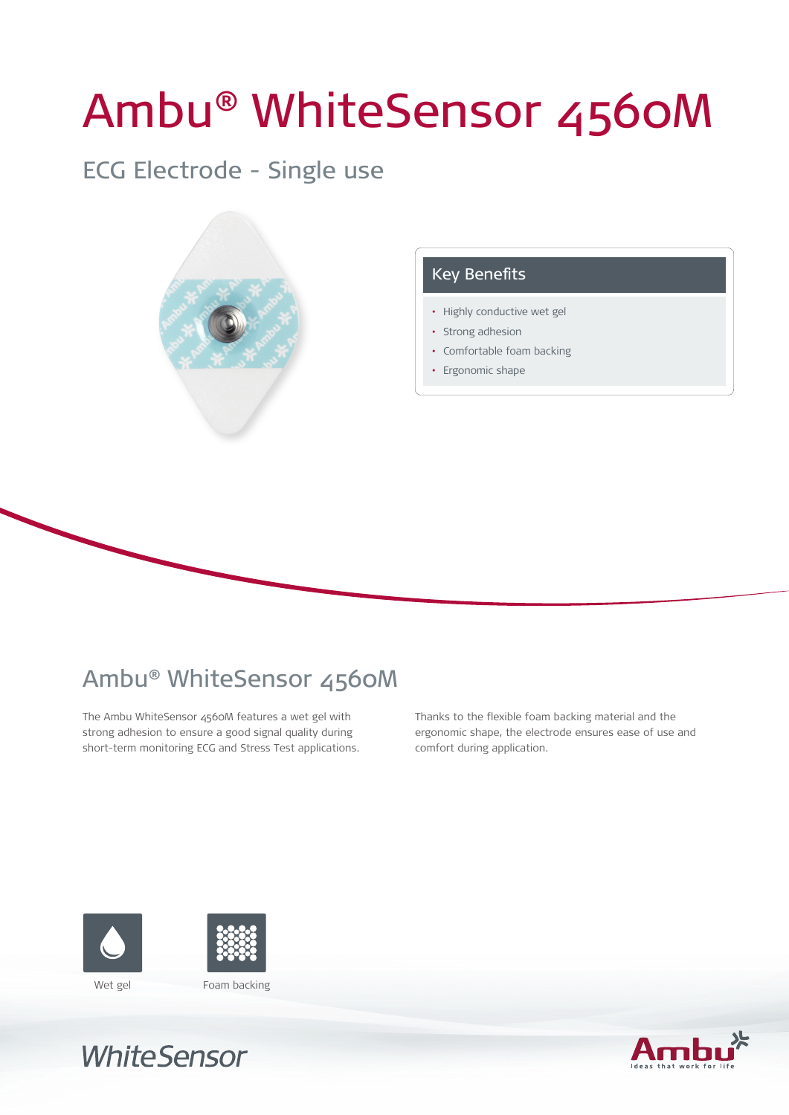# Ambu® WhiteSensor 4560M

### ECG Electrode - Single use



#### Key Benefits

- Highly conductive wet gel
- Strong adhesion
- • Comfortable foam backing
- Ergonomic shape

## Ambu® WhiteSensor 4560M

The Ambu WhiteSensor 4560M features a wet gel with strong adhesion to ensure a good signal quality during short-term monitoring ECG and Stress Test applications. Thanks to the flexible foam backing material and the ergonomic shape, the electrode ensures ease of use and comfort during application.